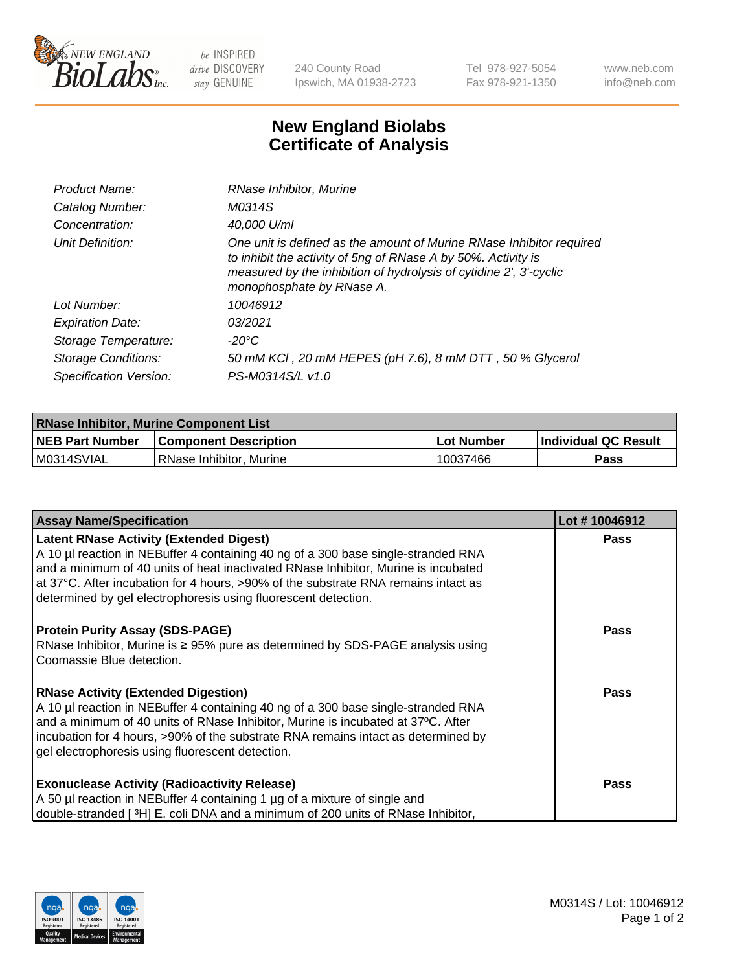

 $be$  INSPIRED drive DISCOVERY stay GENUINE

240 County Road Ipswich, MA 01938-2723 Tel 978-927-5054 Fax 978-921-1350 www.neb.com info@neb.com

## **New England Biolabs Certificate of Analysis**

| Product Name:              | RNase Inhibitor, Murine                                                                                                                                                                                                                  |
|----------------------------|------------------------------------------------------------------------------------------------------------------------------------------------------------------------------------------------------------------------------------------|
| Catalog Number:            | M0314S                                                                                                                                                                                                                                   |
| Concentration:             | 40,000 U/ml                                                                                                                                                                                                                              |
| Unit Definition:           | One unit is defined as the amount of Murine RNase Inhibitor required<br>to inhibit the activity of 5ng of RNase A by 50%. Activity is<br>measured by the inhibition of hydrolysis of cytidine 2', 3'-cyclic<br>monophosphate by RNase A. |
| Lot Number:                | 10046912                                                                                                                                                                                                                                 |
| <b>Expiration Date:</b>    | 03/2021                                                                                                                                                                                                                                  |
| Storage Temperature:       | -20°C                                                                                                                                                                                                                                    |
| <b>Storage Conditions:</b> | 50 mM KCl, 20 mM HEPES (pH 7.6), 8 mM DTT, 50 % Glycerol                                                                                                                                                                                 |
| Specification Version:     | PS-M0314S/L v1.0                                                                                                                                                                                                                         |

| <b>RNase Inhibitor, Murine Component List</b> |                              |            |                             |  |
|-----------------------------------------------|------------------------------|------------|-----------------------------|--|
| <b>NEB Part Number</b>                        | <b>Component Description</b> | Lot Number | <b>Individual QC Result</b> |  |
| M0314SVIAL                                    | l RNase Inhibitor. Murine    | 10037466   | Pass                        |  |

| <b>Assay Name/Specification</b>                                                                                                                                                                                                                                                                                                                              | Lot #10046912 |
|--------------------------------------------------------------------------------------------------------------------------------------------------------------------------------------------------------------------------------------------------------------------------------------------------------------------------------------------------------------|---------------|
| <b>Latent RNase Activity (Extended Digest)</b><br>A 10 µl reaction in NEBuffer 4 containing 40 ng of a 300 base single-stranded RNA<br>and a minimum of 40 units of heat inactivated RNase Inhibitor, Murine is incubated<br>at 37°C. After incubation for 4 hours, >90% of the substrate RNA remains intact as                                              | Pass          |
| determined by gel electrophoresis using fluorescent detection.                                                                                                                                                                                                                                                                                               |               |
| <b>Protein Purity Assay (SDS-PAGE)</b><br>RNase Inhibitor, Murine is ≥ 95% pure as determined by SDS-PAGE analysis using<br>Coomassie Blue detection.                                                                                                                                                                                                        | Pass          |
| <b>RNase Activity (Extended Digestion)</b><br>A 10 µl reaction in NEBuffer 4 containing 40 ng of a 300 base single-stranded RNA<br>and a minimum of 40 units of RNase Inhibitor, Murine is incubated at 37°C. After<br>incubation for 4 hours, >90% of the substrate RNA remains intact as determined by<br>gel electrophoresis using fluorescent detection. | Pass          |
| <b>Exonuclease Activity (Radioactivity Release)</b><br>A 50 µl reaction in NEBuffer 4 containing 1 µg of a mixture of single and<br>double-stranded [3H] E. coli DNA and a minimum of 200 units of RNase Inhibitor,                                                                                                                                          | <b>Pass</b>   |